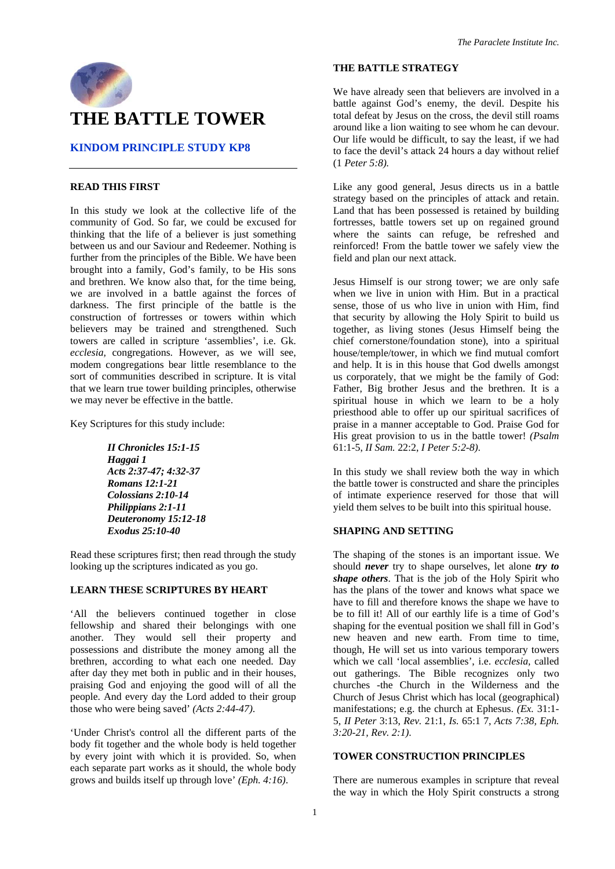

# **THE BATTLE TOWER**

# **KINDOM PRINCIPLE STUDY KP8**

# **READ THIS FIRST**

In this study we look at the collective life of the community of God. So far, we could be excused for thinking that the life of a believer is just something between us and our Saviour and Redeemer. Nothing is further from the principles of the Bible. We have been brought into a family, God's family, to be His sons and brethren. We know also that, for the time being, we are involved in a battle against the forces of darkness. The first principle of the battle is the construction of fortresses or towers within which believers may be trained and strengthened. Such towers are called in scripture 'assemblies', i.e. Gk. *ecclesia,* congregations. However, as we will see, modem congregations bear little resemblance to the sort of communities described in scripture. It is vital that we learn true tower building principles, otherwise we may never be effective in the battle.

Key Scriptures for this study include:

*II Chronicles 15:1-15 Haggai 1 Acts 2:37-47; 4:32-37 Romans 12:1-21 Colossians 2:10-14 Philippians 2:1-11 Deuteronomy 15:12-18 Exodus 25:10-40* 

Read these scriptures first; then read through the study looking up the scriptures indicated as you go.

#### **LEARN THESE SCRIPTURES BY HEART**

'All the believers continued together in close fellowship and shared their belongings with one another. They would sell their property and possessions and distribute the money among all the brethren, according to what each one needed. Day after day they met both in public and in their houses, praising God and enjoying the good will of all the people. And every day the Lord added to their group those who were being saved' *(Acts 2:44-47)*.

'Under Christ's control all the different parts of the body fit together and the whole body is held together by every joint with which it is provided. So, when each separate part works as it should, the whole body grows and builds itself up through love' *(Eph. 4:16)*.

# **THE BATTLE STRATEGY**

We have already seen that believers are involved in a battle against God's enemy, the devil. Despite his total defeat by Jesus on the cross, the devil still roams around like a lion waiting to see whom he can devour. Our life would be difficult, to say the least, if we had to face the devil's attack 24 hours a day without relief (1 *Peter 5:8).* 

Like any good general, Jesus directs us in a battle strategy based on the principles of attack and retain. Land that has been possessed is retained by building fortresses, battle towers set up on regained ground where the saints can refuge, be refreshed and reinforced! From the battle tower we safely view the field and plan our next attack.

Jesus Himself is our strong tower; we are only safe when we live in union with Him. But in a practical sense, those of us who live in union with Him, find that security by allowing the Holy Spirit to build us together, as living stones (Jesus Himself being the chief cornerstone/foundation stone), into a spiritual house/temple/tower, in which we find mutual comfort and help. It is in this house that God dwells amongst us corporately, that we might be the family of God: Father, Big brother Jesus and the brethren. It is a spiritual house in which we learn to be a holy priesthood able to offer up our spiritual sacrifices of praise in a manner acceptable to God. Praise God for His great provision to us in the battle tower! *(Psalm*  61:1-5, *II Sam.* 22:2, *I Peter 5:2-8)*.

In this study we shall review both the way in which the battle tower is constructed and share the principles of intimate experience reserved for those that will yield them selves to be built into this spiritual house.

## **SHAPING AND SETTING**

The shaping of the stones is an important issue. We should *never* try to shape ourselves, let alone *try to shape others*. That is the job of the Holy Spirit who has the plans of the tower and knows what space we have to fill and therefore knows the shape we have to be to fill it! All of our earthly life is a time of God's shaping for the eventual position we shall fill in God's new heaven and new earth. From time to time, though, He will set us into various temporary towers which we call 'local assemblies', i.e. *ecclesia,* called out gatherings. The Bible recognizes only two churches -the Church in the Wilderness and the Church of Jesus Christ which has local (geographical) manifestations; e.g. the church at Ephesus. *(Ex.* 31:1- 5, *II Peter* 3:13, *Rev.* 21:1, *Is.* 65:1 7, *Acts 7:38, Eph. 3:20-21, Rev. 2:1)*.

#### **TOWER CONSTRUCTION PRINCIPLES**

There are numerous examples in scripture that reveal the way in which the Holy Spirit constructs a strong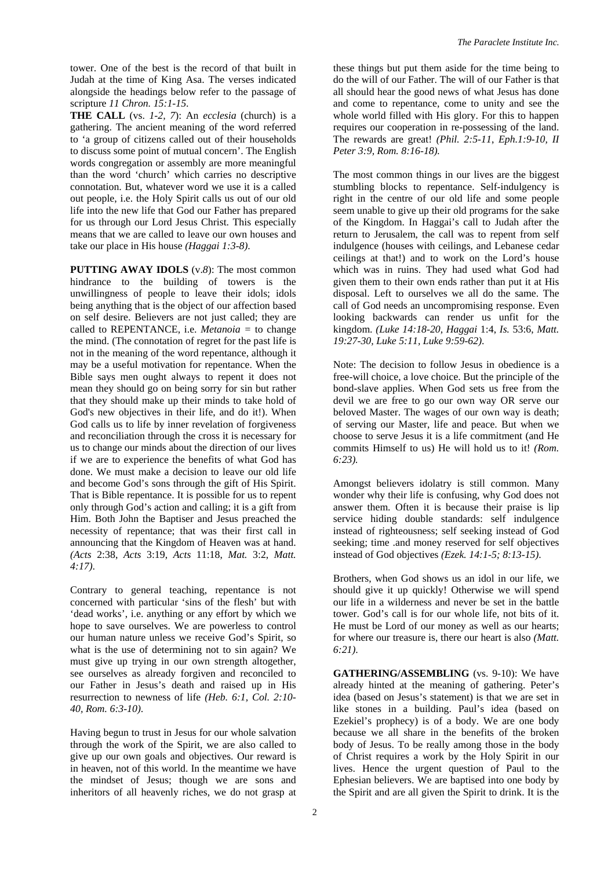tower. One of the best is the record of that built in Judah at the time of King Asa. The verses indicated alongside the headings below refer to the passage of scripture *11 Chron. 15:1-15*.

**THE CALL** (vs. *1-2, 7*): An *ecclesia* (church) is a gathering. The ancient meaning of the word referred to 'a group of citizens called out of their households to discuss some point of mutual concern'. The English words congregation or assembly are more meaningful than the word 'church' which carries no descriptive connotation. But, whatever word we use it is a called out people, i.e. the Holy Spirit calls us out of our old life into the new life that God our Father has prepared for us through our Lord Jesus Christ. This especially means that we are called to leave our own houses and take our place in His house *(Haggai 1:3-8)*.

**PUTTING AWAY IDOLS** (v.*8*): The most common hindrance to the building of towers is the unwillingness of people to leave their idols; idols being anything that is the object of our affection based on self desire. Believers are not just called; they are called to REPENTANCE, i.e. *Metanoia =* to change the mind. (The connotation of regret for the past life is not in the meaning of the word repentance, although it may be a useful motivation for repentance. When the Bible says men ought always to repent it does not mean they should go on being sorry for sin but rather that they should make up their minds to take hold of God's new objectives in their life, and do it!). When God calls us to life by inner revelation of forgiveness and reconciliation through the cross it is necessary for us to change our minds about the direction of our lives if we are to experience the benefits of what God has done. We must make a decision to leave our old life and become God's sons through the gift of His Spirit. That is Bible repentance. It is possible for us to repent only through God's action and calling; it is a gift from Him. Both John the Baptiser and Jesus preached the necessity of repentance; that was their first call in announcing that the Kingdom of Heaven was at hand. *(Acts* 2:38, *Acts* 3:19, *Acts* 11:18, *Mat.* 3:2, *Matt. 4:17)*.

Contrary to general teaching, repentance is not concerned with particular 'sins of the flesh' but with 'dead works', i.e. anything or any effort by which we hope to save ourselves. We are powerless to control our human nature unless we receive God's Spirit, so what is the use of determining not to sin again? We must give up trying in our own strength altogether, see ourselves as already forgiven and reconciled to our Father in Jesus's death and raised up in His resurrection to newness of life *(Heb. 6:1, Col. 2:10- 40, Rom. 6:3-10)*.

Having begun to trust in Jesus for our whole salvation through the work of the Spirit, we are also called to give up our own goals and objectives. Our reward is in heaven, not of this world. In the meantime we have the mindset of Jesus; though we are sons and inheritors of all heavenly riches, we do not grasp at

these things but put them aside for the time being to do the will of our Father. The will of our Father is that all should hear the good news of what Jesus has done and come to repentance, come to unity and see the whole world filled with His glory. For this to happen requires our cooperation in re-possessing of the land. The rewards are great! *(Phil. 2:5-11*, *Eph.1:9-10, II Peter 3:9, Rom. 8:16-18).* 

The most common things in our lives are the biggest stumbling blocks to repentance. Self-indulgency is right in the centre of our old life and some people seem unable to give up their old programs for the sake of the Kingdom. In Haggai's call to Judah after the return to Jerusalem, the call was to repent from self indulgence (houses with ceilings, and Lebanese cedar ceilings at that!) and to work on the Lord's house which was in ruins. They had used what God had given them to their own ends rather than put it at His disposal. Left to ourselves we all do the same. The call of God needs an uncompromising response. Even looking backwards can render us unfit for the kingdom. *(Luke 14:18-20, Haggai* 1:4, *Is.* 53:6, *Matt. 19:27-30, Luke 5:11, Luke 9:59-62)*.

Note: The decision to follow Jesus in obedience is a free-will choice, a love choice. But the principle of the bond-slave applies. When God sets us free from the devil we are free to go our own way OR serve our beloved Master. The wages of our own way is death; of serving our Master, life and peace. But when we choose to serve Jesus it is a life commitment (and He commits Himself to us) He will hold us to it! *(Rom. 6:23).* 

Amongst believers idolatry is still common. Many wonder why their life is confusing, why God does not answer them. Often it is because their praise is lip service hiding double standards: self indulgence instead of righteousness; self seeking instead of God seeking; time .and money reserved for self objectives instead of God objectives *(Ezek. 14:1-5; 8:13-15)*.

Brothers, when God shows us an idol in our life, we should give it up quickly! Otherwise we will spend our life in a wilderness and never be set in the battle tower. God's call is for our whole life, not bits of it. He must be Lord of our money as well as our hearts; for where our treasure is, there our heart is also *(Matt. 6:21)*.

**GATHERING/ASSEMBLING** (vs. 9-10): We have already hinted at the meaning of gathering. Peter's idea (based on Jesus's statement) is that we are set in like stones in a building. Paul's idea (based on Ezekiel's prophecy) is of a body. We are one body because we all share in the benefits of the broken body of Jesus. To be really among those in the body of Christ requires a work by the Holy Spirit in our lives. Hence the urgent question of Paul to the Ephesian believers. We are baptised into one body by the Spirit and are all given the Spirit to drink. It is the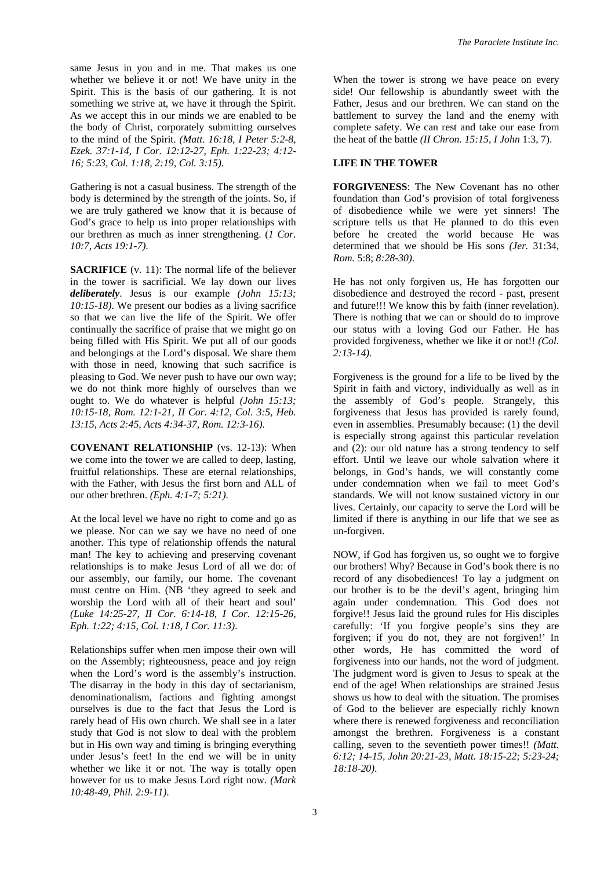same Jesus in you and in me. That makes us one whether we believe it or not! We have unity in the Spirit. This is the basis of our gathering. It is not something we strive at, we have it through the Spirit. As we accept this in our minds we are enabled to be the body of Christ, corporately submitting ourselves to the mind of the Spirit. *(Matt. 16:18, I Peter 5:2-8, Ezek. 37:1-14, I Cor. 12:12-27, Eph. 1:22-23; 4:12- 16; 5:23, Col. 1:18, 2:19, Col. 3:15)*.

Gathering is not a casual business. The strength of the body is determined by the strength of the joints. So, if we are truly gathered we know that it is because of God's grace to help us into proper relationships with our brethren as much as inner strengthening. (*1 Cor. 10:7, Acts 19:1-7)*.

**SACRIFICE** (v. 11): The normal life of the believer in the tower is sacrificial. We lay down our lives *deliberately*. Jesus is our example *(John 15:13; 10:15-18)*. We present our bodies as a living sacrifice so that we can live the life of the Spirit. We offer continually the sacrifice of praise that we might go on being filled with His Spirit. We put all of our goods and belongings at the Lord's disposal. We share them with those in need, knowing that such sacrifice is pleasing to God. We never push to have our own way; we do not think more highly of ourselves than we ought to. We do whatever is helpful *(John 15:13; 10:15-18, Rom. 12:1-21, II Cor. 4:12, Col. 3:5, Heb. 13:15, Acts 2:45, Acts 4:34-37, Rom. 12:3-16)*.

**COVENANT RELATIONSHIP** (vs. 12-13): When we come into the tower we are called to deep, lasting, fruitful relationships. These are eternal relationships, with the Father, with Jesus the first born and ALL of our other brethren. *(Eph. 4:1-7; 5:21)*.

At the local level we have no right to come and go as we please. Nor can we say we have no need of one another. This type of relationship offends the natural man! The key to achieving and preserving covenant relationships is to make Jesus Lord of all we do: of our assembly, our family, our home. The covenant must centre on Him. (NB 'they agreed to seek and worship the Lord with all of their heart and soul' *(Luke 14:25-27, II Cor. 6:14-18, I Cor. 12:15-26, Eph. 1:22; 4:15, Col. 1:18, I Cor. 11:3)*.

Relationships suffer when men impose their own will on the Assembly; righteousness, peace and joy reign when the Lord's word is the assembly's instruction. The disarray in the body in this day of sectarianism, denominationalism, factions and fighting amongst ourselves is due to the fact that Jesus the Lord is rarely head of His own church. We shall see in a later study that God is not slow to deal with the problem but in His own way and timing is bringing everything under Jesus's feet! In the end we will be in unity whether we like it or not. The way is totally open however for us to make Jesus Lord right now. *(Mark 10:48-49, Phil. 2:9-11)*.

When the tower is strong we have peace on every side! Our fellowship is abundantly sweet with the Father, Jesus and our brethren. We can stand on the battlement to survey the land and the enemy with complete safety. We can rest and take our ease from the heat of the battle *(II Chron. 15:15, I John* 1:3, 7).

## **LIFE IN THE TOWER**

**FORGIVENESS**: The New Covenant has no other foundation than God's provision of total forgiveness of disobedience while we were yet sinners! The scripture tells us that He planned to do this even before he created the world because He was determined that we should be His sons *(Jer.* 31:34, *Rom.* 5:8; *8:28-30)*.

He has not only forgiven us, He has forgotten our disobedience and destroyed the record - past, present and future!!! We know this by faith (inner revelation). There is nothing that we can or should do to improve our status with a loving God our Father. He has provided forgiveness, whether we like it or not!! *(Col. 2:13-14)*.

Forgiveness is the ground for a life to be lived by the Spirit in faith and victory, individually as well as in the assembly of God's people. Strangely, this forgiveness that Jesus has provided is rarely found, even in assemblies. Presumably because: (1) the devil is especially strong against this particular revelation and (2): our old nature has a strong tendency to self effort. Until we leave our whole salvation where it belongs, in God's hands, we will constantly come under condemnation when we fail to meet God's standards. We will not know sustained victory in our lives. Certainly, our capacity to serve the Lord will be limited if there is anything in our life that we see as un-forgiven.

NOW, if God has forgiven us, so ought we to forgive our brothers! Why? Because in God's book there is no record of any disobediences! To lay a judgment on our brother is to be the devil's agent, bringing him again under condemnation. This God does not forgive!! Jesus laid the ground rules for His disciples carefully: 'If you forgive people's sins they are forgiven; if you do not, they are not forgiven!' In other words, He has committed the word of forgiveness into our hands, not the word of judgment. The judgment word is given to Jesus to speak at the end of the age! When relationships are strained Jesus shows us how to deal with the situation. The promises of God to the believer are especially richly known where there is renewed forgiveness and reconciliation amongst the brethren. Forgiveness is a constant calling, seven to the seventieth power times!! *(Matt. 6:12; 14-15, John 20:21-23, Matt. 18:15-22; 5:23-24; 18:18-20)*.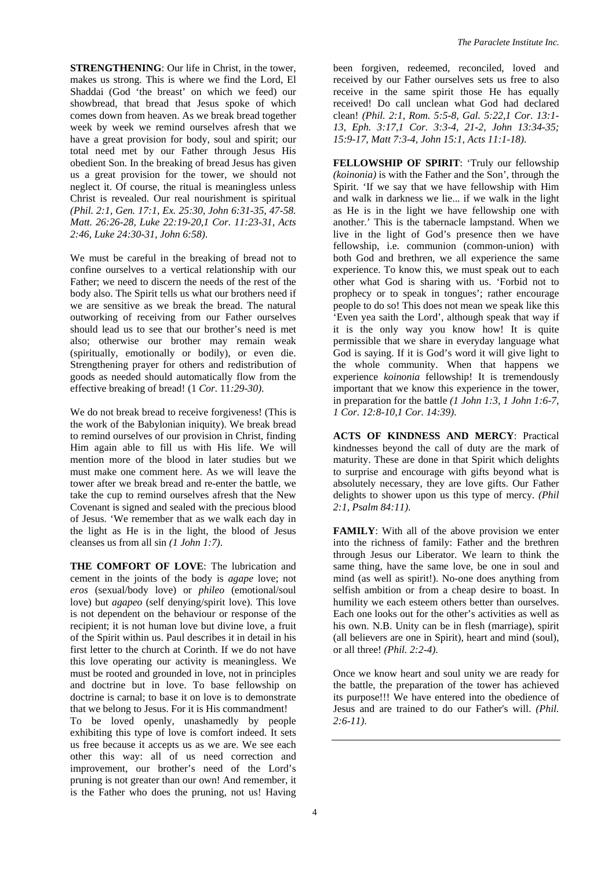**STRENGTHENING**: Our life in Christ, in the tower, makes us strong. This is where we find the Lord, El Shaddai (God 'the breast' on which we feed) our showbread, that bread that Jesus spoke of which comes down from heaven. As we break bread together week by week we remind ourselves afresh that we have a great provision for body, soul and spirit; our total need met by our Father through Jesus His obedient Son. In the breaking of bread Jesus has given us a great provision for the tower, we should not neglect it. Of course, the ritual is meaningless unless Christ is revealed. Our real nourishment is spiritual *(Phil. 2:1, Gen. 17:1, Ex. 25:30, John 6:31-35, 47-58. Matt. 26:26-28, Luke 22:19-20,1 Cor. 11:23-31, Acts 2:46, Luke 24:30-31, John 6:58)*.

We must be careful in the breaking of bread not to confine ourselves to a vertical relationship with our Father; we need to discern the needs of the rest of the body also. The Spirit tells us what our brothers need if we are sensitive as we break the bread. The natural outworking of receiving from our Father ourselves should lead us to see that our brother's need is met also; otherwise our brother may remain weak (spiritually, emotionally or bodily), or even die. Strengthening prayer for others and redistribution of goods as needed should automatically flow from the effective breaking of bread! (1 *Cor.* 11*:29-30)*.

We do not break bread to receive forgiveness! (This is the work of the Babylonian iniquity). We break bread to remind ourselves of our provision in Christ, finding Him again able to fill us with His life. We will mention more of the blood in later studies but we must make one comment here. As we will leave the tower after we break bread and re-enter the battle, we take the cup to remind ourselves afresh that the New Covenant is signed and sealed with the precious blood of Jesus. 'We remember that as we walk each day in the light as He is in the light, the blood of Jesus cleanses us from all sin *(1 John 1:7)*.

**THE COMFORT OF LOVE**: The lubrication and cement in the joints of the body is *agape* love; not *eros* (sexual/body love) or *phileo* (emotional/soul love) but *agapeo* (self denying/spirit love). This love is not dependent on the behaviour or response of the recipient; it is not human love but divine love, a fruit of the Spirit within us. Paul describes it in detail in his first letter to the church at Corinth. If we do not have this love operating our activity is meaningless. We must be rooted and grounded in love, not in principles and doctrine but in love. To base fellowship on doctrine is carnal; to base it on love is to demonstrate that we belong to Jesus. For it is His commandment!

To be loved openly, unashamedly by people exhibiting this type of love is comfort indeed. It sets us free because it accepts us as we are. We see each other this way: all of us need correction and improvement, our brother's need of the Lord's pruning is not greater than our own! And remember, it is the Father who does the pruning, not us! Having

been forgiven, redeemed, reconciled, loved and received by our Father ourselves sets us free to also receive in the same spirit those He has equally received! Do call unclean what God had declared clean! *(Phil. 2:1, Rom. 5:5-8, Gal. 5:22,1 Cor. 13:1- 13, Eph. 3:17,1 Cor. 3:3-4, 21-2, John 13:34-35; 15:9-17, Matt 7:3-4, John 15:1, Acts 11:1-18)*.

**FELLOWSHIP OF SPIRIT**: 'Truly our fellowship *(koinonia)* is with the Father and the Son', through the Spirit. 'If we say that we have fellowship with Him and walk in darkness we lie... if we walk in the light as He is in the light we have fellowship one with another.' This is the tabernacle lampstand. When we live in the light of God's presence then we have fellowship, i.e. communion (common-union) with both God and brethren, we all experience the same experience. To know this, we must speak out to each other what God is sharing with us. 'Forbid not to prophecy or to speak in tongues'; rather encourage people to do so! This does not mean we speak like this 'Even yea saith the Lord', although speak that way if it is the only way you know how! It is quite permissible that we share in everyday language what God is saying. If it is God's word it will give light to the whole community. When that happens we experience *koinonia* fellowship! It is tremendously important that we know this experience in the tower, in preparation for the battle *(1 John 1:3, 1 John 1:6-7, 1 Cor. 12:8-10,1 Cor. 14:39)*.

**ACTS OF KINDNESS AND MERCY**: Practical kindnesses beyond the call of duty are the mark of maturity. These are done in that Spirit which delights to surprise and encourage with gifts beyond what is absolutely necessary, they are love gifts. Our Father delights to shower upon us this type of mercy. *(Phil 2:1, Psalm 84:11)*.

**FAMILY**: With all of the above provision we enter into the richness of family: Father and the brethren through Jesus our Liberator. We learn to think the same thing, have the same love, be one in soul and mind (as well as spirit!). No-one does anything from selfish ambition or from a cheap desire to boast. In humility we each esteem others better than ourselves. Each one looks out for the other's activities as well as his own. N.B. Unity can be in flesh (marriage), spirit (all believers are one in Spirit), heart and mind (soul), or all three! *(Phil. 2:2-4)*.

Once we know heart and soul unity we are ready for the battle, the preparation of the tower has achieved its purpose!!! We have entered into the obedience of Jesus and are trained to do our Father's will. *(Phil. 2:6-11)*.